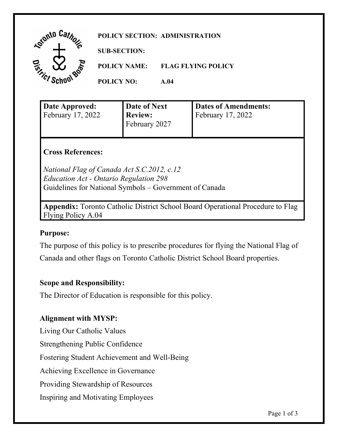| . Stonto ' | POLICY SECTION: ADMINISTRATION |                           |  |
|------------|--------------------------------|---------------------------|--|
|            | <b>SUB-SECTION:</b>            |                           |  |
| কূ<br>л    | <b>POLICY NAME:</b>            | <b>FLAG FLYING POLICY</b> |  |
|            | <b>POLICY NO:</b>              | A.04                      |  |

| Date Approved:<br>February 17, 2022 | Date of Next<br><b>Review:</b><br>February 2027 | <b>Dates of Amendments:</b><br>February 17, 2022 |
|-------------------------------------|-------------------------------------------------|--------------------------------------------------|
|                                     |                                                 |                                                  |

### **Cross References:**

*National Flag of Canada Act S.C.2012, c.12 Education Act - Ontario Regulation 298*  Guidelines for National Symbols – Government of Canada

**Appendix:** Toronto Catholic District School Board Operational Procedure to Flag Flying Policy A.04

### **Purpose:**

 The purpose of this policy is to prescribe procedures for flying the National Flag of Canada and other flags on Toronto Catholic District School Board properties.

### **Scope and Responsibility:**

The Director of Education is responsible for this policy.

### **Alignment with MYSP:**

Living Our Catholic Values

Strengthening Public Confidence

Fostering Student Achievement and Well-Being

Achieving Excellence in Governance

Providing Stewardship of Resources

Inspiring and Motivating Employees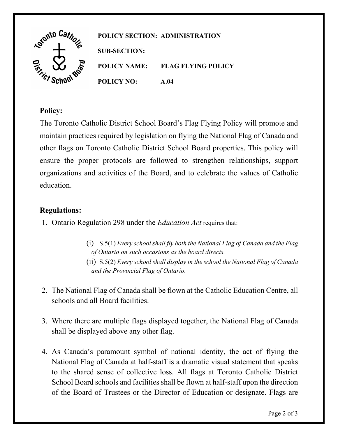

## **Policy:**

 The Toronto Catholic District School Board's Flag Flying Policy will promote and organizations and activities of the Board, and to celebrate the values of Catholic education. maintain practices required by legislation on flying the National Flag of Canada and other flags on Toronto Catholic District School Board properties. This policy will ensure the proper protocols are followed to strengthen relationships, support

# **Regulations:**

- 1. Ontario Regulation 298 under the *Education Act* requires that:
	- (ii) S.5(2) *Every school shall display in the school the National Flag of Canada*  (i) S.5(1) *Every school shall fly both the National Flag of Canada and the Flag of Ontario on such occasions as the board directs. and the Provincial Flag of Ontario.*
- schools and all Board facilities. 2. The National Flag of Canada shall be flown at the Catholic Education Centre, all
- schools and all Board facilities. 3. Where there are multiple flags displayed together, the National Flag of Canada shall be displayed above any other flag.
- 4. As Canada's paramount symbol of national identity, the act of flying the National Flag of Canada at half-staff is a dramatic visual statement that speaks to the shared sense of collective loss. All flags at Toronto Catholic District School Board schools and facilities shall be flown at half-staff upon the direction of the Board of Trustees or the Director of Education or designate. Flags are